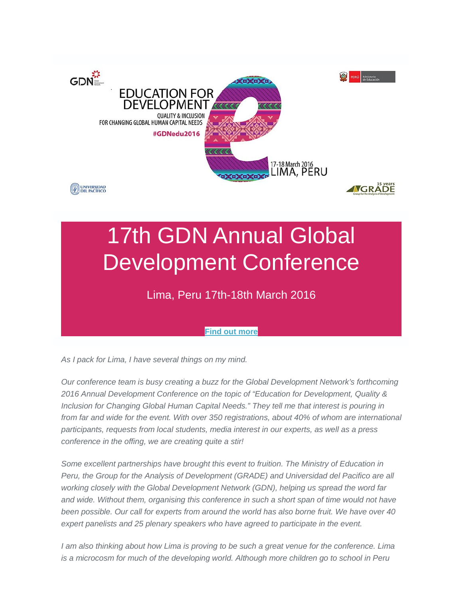

# 17th GDN Annual Global Development Conference

### Lima, Peru 17th-18th March 2016

#### **[Find out more](http://commsconsult.cmail20.com/t/r-i-eekjyk-l-y/)**

*As I pack for Lima, I have several things on my mind.*

*Our conference team is busy creating a buzz for the Global Development Network's forthcoming 2016 Annual Development Conference on the topic of "Education for Development, Quality & Inclusion for Changing Global Human Capital Needs." They tell me that interest is pouring in* from far and wide for the event. With over 350 registrations, about 40% of whom are international *participants, requests from local students, media interest in our experts, as well as a press conference in the offing, we are creating quite a stir!*

*Some excellent partnerships have brought this event to fruition. The Ministry of Education in Peru, the Group for the Analysis of Development (GRADE) and Universidad del Pacifico are all working closely with the Global Development Network (GDN), helping us spread the word far and wide. Without them, organising this conference in such a short span of time would not have been possible. Our call for experts from around the world has also borne fruit. We have over 40 expert panelists and 25 plenary speakers who have agreed to participate in the event.*

*I* am also thinking about how Lima is proving to be such a great venue for the conference. Lima *is a microcosm for much of the developing world. Although more children go to school in Peru*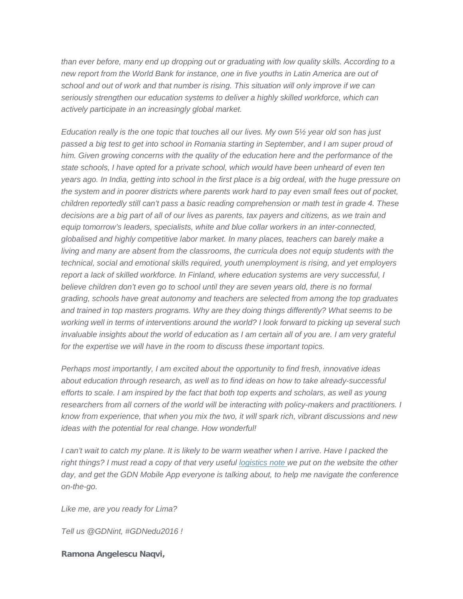*than ever before, many end up dropping out or graduating with low quality skills. According to a new report from the World Bank for instance, one in five youths in Latin America are out of school and out of work and that number is rising. This situation will only improve if we can seriously strengthen our education systems to deliver a highly skilled workforce, which can actively participate in an increasingly global market.*

*Education really is the one topic that touches all our lives. My own 5½ year old son has just*  passed a big test to get into school in Romania starting in September, and I am super proud of *him. Given growing concerns with the quality of the education here and the performance of the state schools, I have opted for a private school, which would have been unheard of even ten years ago. In India, getting into school in the first place is a big ordeal, with the huge pressure on the system and in poorer districts where parents work hard to pay even small fees out of pocket, children reportedly still can't pass a basic reading comprehension or math test in grade 4. These decisions are a big part of all of our lives as parents, tax payers and citizens, as we train and equip tomorrow's leaders, specialists, white and blue collar workers in an inter-connected, globalised and highly competitive labor market. In many places, teachers can barely make a living and many are absent from the classrooms, the curricula does not equip students with the technical, social and emotional skills required, youth unemployment is rising, and yet employers report a lack of skilled workforce. In Finland, where education systems are very successful, I*  believe children don't even go to school until they are seven years old, there is no formal *grading, schools have great autonomy and teachers are selected from among the top graduates and trained in top masters programs. Why are they doing things differently? What seems to be working well in terms of interventions around the world? I look forward to picking up several such invaluable insights about the world of education as I am certain all of you are. I am very grateful for the expertise we will have in the room to discuss these important topics.*

*Perhaps most importantly, I am excited about the opportunity to find fresh, innovative ideas about education through research, as well as to find ideas on how to take already-successful efforts to scale. I am inspired by the fact that both top experts and scholars, as well as young*  researchers from all corners of the world will be interacting with policy-makers and practitioners. I *know from experience, that when you mix the two, it will spark rich, vibrant discussions and new ideas with the potential for real change. How wonderful!*

*I* can't wait to catch my plane. It is likely to be warm weather when I arrive. Have I packed the *right things? I must read a copy of that very useful [logistics note w](http://commsconsult.cmail20.com/t/r-i-eekjyk-l-j/)e put on the website the other day, and get the GDN Mobile App everyone is talking about, to help me navigate the conference on-the-go.*

*Like me, are you ready for Lima?*

*Tell us @GDNint, #GDNedu2016 !*

**Ramona Angelescu Naqvi,**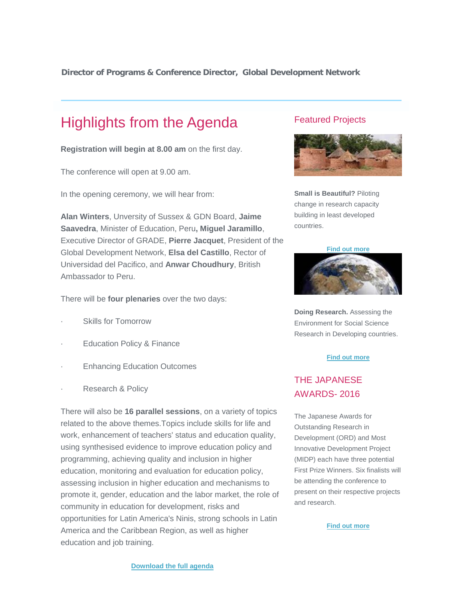**Director of Programs & Conference Director, Global Development Network**

## Highlights from the Agenda

**Registration will begin at 8.00 am** on the first day.

The conference will open at 9.00 am.

In the opening ceremony, we will hear from:

**Alan Winters**, Unversity of Sussex & GDN Board, **Jaime Saavedra**, Minister of Education, Peru**, Miguel Jaramillo**, Executive Director of GRADE, **Pierre Jacquet**, President of the Global Development Network, **Elsa del Castillo**, Rector of Universidad del Pacifico, and **Anwar Choudhury**, British Ambassador to Peru.

There will be **four plenaries** over the two days:

- Skills for Tomorrow
- Education Policy & Finance
- **Enhancing Education Outcomes**
- Research & Policy

There will also be **16 parallel sessions**, on a variety of topics related to the above themes.Topics include skills for life and work, enhancement of teachers' status and education quality, using synthesised evidence to improve education policy and programming, achieving quality and inclusion in higher education, monitoring and evaluation for education policy, assessing inclusion in higher education and mechanisms to promote it, gender, education and the labor market, the role of community in education for development, risks and opportunities for Latin America's Ninis, strong schools in Latin America and the Caribbean Region, as well as higher education and job training.

#### Featured Projects



**Small is Beautiful?** Piloting change in research capacity building in least developed countries.

**[Find out more](http://commsconsult.cmail20.com/t/r-i-eekjyk-l-d/)**



**Doing Research.** Assessing the Environment for Social Science Research in Developing countries.

#### **[Find out more](http://commsconsult.cmail20.com/t/r-i-eekjyk-l-h/)**

#### THE JAPANESE AWARDS- 2016

The Japanese Awards for Outstanding Research in Development (ORD) and Most Innovative Development Project (MIDP) each have three potential First Prize Winners. Six finalists will be attending the conference to present on their respective projects and research.

**[Find out more](http://commsconsult.cmail20.com/t/r-i-eekjyk-l-k/)**